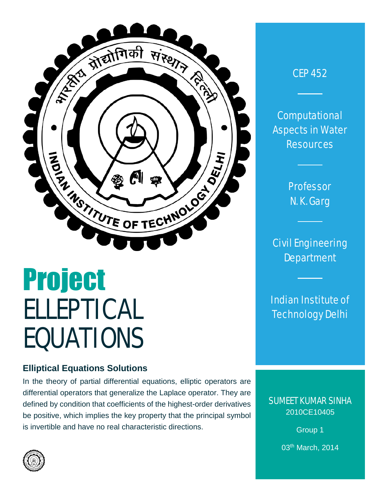

# Project ELLEPTICAL EQUATIONS

# **Elliptical Equations Solutions**

In the theory of partial differential equations, elliptic operators are differential operators that generalize the Laplace operator. They are defined by condition that coefficients of the highest-order derivatives be positive, which implies the key property that the principal symbol is invertible and have no real characteristic directions.



**Computational** Aspects in Water **Resources** 

> Professor N. K. Garg

Civil Engineering **Department** 

Indian Institute of Technology Delhi

SUMEET KUMAR SINHA 2010CE10405

> Group 1 03th March, 2014

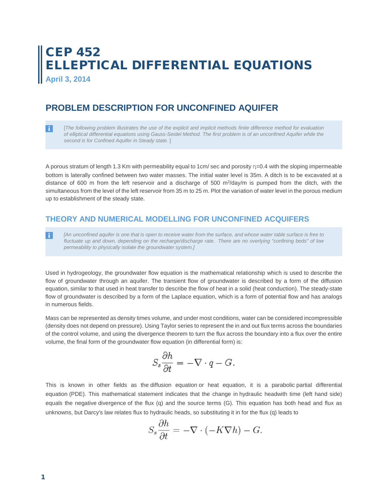# CEP 452 ELLEPTICAL DIFFERENTIAL EQUATIONS

**April 3, 2014**

# **PROBLEM DESCRIPTION FOR UNCONFINED AQUIFER**

-i l [*The following problem illustrates the use of the explicit and implicit methods finite difference method for evaluation of elliptical differential equations using Gauss-Seidel Method. The first problem is of an unconfined Aquifer while the second is for Confined Aquifer in Steady state.* ]

A porous stratum of length 1.3 Km with permeability equal to 1cm/ sec and porosity η=0.4 with the sloping impermeable bottom is laterally confined between two water masses. The initial water level is 35m. A ditch is to be excavated at a distance of 600 m from the left reservoir and a discharge of 500 m<sup>3</sup>/day/m is pumped from the ditch, with the simultaneous from the level of the left reservoir from 35 m to 25 m. Plot the variation of water level in the porous medium up to establishment of the steady state.

### **THEORY AND NUMERICAL MODELLING FOR UNCONFINED ACQUIFERS**

*[An unconfined aquifer is one that is open to receive water from the surface, and whose water table surface is free to*  H *fluctuate up and down, depending on the recharge/discharge rate. There are no overlying "confining beds" of low permeability to physically isolate the groundwater system.]*

Used in hydrogeology, the groundwater flow equation is the mathematical relationship which is used to describe the flow of groundwater through an aquifer. The transient flow of groundwater is described by a form of the diffusion equation, similar to that used in heat transfer to describe the flow of heat in a solid (heat conduction). The steady-state flow of groundwater is described by a form of the Laplace equation, which is a form of potential flow and has analogs in numerous fields.

Mass can be represented as density times volume, and under most conditions, water can be considered incompressible (density does not depend on pressure). Using Taylor series to represent the in and out flux terms across the boundaries of the control volume, and using the divergence theorem to turn the flux across the boundary into a flux over the entire volume, the final form of the groundwater flow equation (in differential form) is:

$$
S_s \frac{\partial h}{\partial t} = -\nabla \cdot q - G.
$$

This is known in other fields as the [diffusion equation](http://en.wikipedia.org/wiki/Diffusion_equation) or heat equation, it is a parabolic [partial differential](http://en.wikipedia.org/wiki/Partial_differential_equation)  [equation](http://en.wikipedia.org/wiki/Partial_differential_equation) (PDE). This mathematical statement indicates that the change in [hydraulic headw](http://en.wikipedia.org/wiki/Hydraulic_head)ith time (left hand side) equals the negative [divergence](http://en.wikipedia.org/wiki/Divergence) of the flux (q) and the source terms (G). This equation has both head and flux as unknowns, but Darcy's law relates flux to hydraulic heads, so substituting it in for the flux (q) leads to

$$
S_s \frac{\partial h}{\partial t} = -\nabla \cdot (-K\nabla h) - G.
$$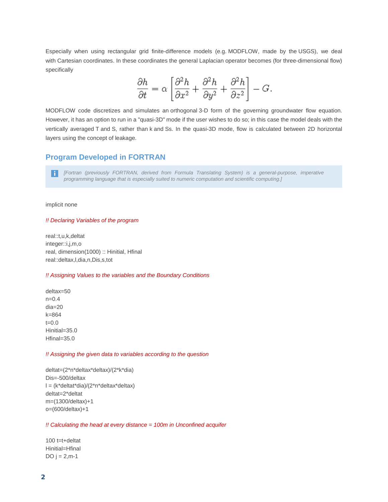Especially when using rectangular grid finite-difference models (e.g. [MODFLOW,](http://en.wikipedia.org/wiki/MODFLOW) made by the [USGS\)](http://en.wikipedia.org/wiki/USGS), we deal with [Cartesian coordinates.](http://en.wikipedia.org/wiki/Cartesian_coordinates) In these coordinates the general [Laplacian](http://en.wikipedia.org/wiki/Laplacian) operator becomes (for three-dimensional flow) specifically

$$
\frac{\partial h}{\partial t} = \alpha \left[ \frac{\partial^2 h}{\partial x^2} + \frac{\partial^2 h}{\partial y^2} + \frac{\partial^2 h}{\partial z^2} \right] - G.
$$

MODFLOW code discretizes and simulates an [orthogonal](http://en.wikipedia.org/wiki/Orthogonal) 3-D form of the governing groundwater flow equation. However, it has an option to run in a "quasi-3D" mode if the user wishes to do so; in this case the model deals with the vertically averaged T and S, rather than k and Ss. In the quasi-3D mode, flow is calculated between 2D horizontal layers using the concept of leakage.

#### **Program Developed in FORTRAN**

*[Fortran (previously FORTRAN, derived from Formula Translating System) is a general-purpose, imperative programming language that is especially suited to numeric computation and scientific computing.]*

#### implicit none

#### *!! Declaring Variables of the program*

real::t,u,k,deltat integer::i,j,m,o real, dimension(1000) :: Hinitial, Hfinal real::deltax,l,dia,n,Dis,s,tot

#### *!! Assigning Values to the variables and the Boundary Conditions*

deltax=50  $n=0.4$ dia=20 k=864  $t = 0.0$ Hinitial=35.0 Hfinal=35.0

#### *!! Assigning the given data to variables according to the question*

deltat=(2\*n\*deltax\*deltax)/(2\*k\*dia) Dis=-500/deltax l = (k\*deltat\*dia)/(2\*n\*deltax\*deltax) deltat=2\*deltat m=(1300/deltax)+1 o=(600/deltax)+1

#### *!! Calculating the head at every distance = 100m in Unconfined acquifer*

100 t=t+deltat Hinitial=Hfinal DO  $j = 2, m-1$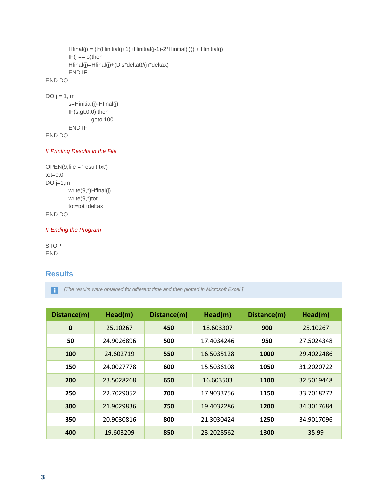```
Hfinal(j) = (l*(Hinitial(j+1)+Hinitial(j-1)-2*Hinitial(j))) + Hinitial(j)
         IF(j == o)then
         Hfinal(j)=Hfinal(j)+(Dis*deltat)/(n*deltax)
         END IF
END DO
DO j = 1, m
```
s=Hinitial(j)-Hfinal(j) IF(s.gt.0.0) then goto 100 END IF END DO

*!! Printing Results in the File* 

```
OPEN(9,file = 'result.txt')
tot=0.0
DO j=1,mwrite(9,*)Hfinal(j)
         write(9,*)tot
        tot=tot+deltax
END DO
```
#### *!! Ending the Program*

STOP END

#### **Results**

*[The results were obtained for different time and then plotted in Microsoft Excel ]*

| Distance(m) | Head(m)    | Distance(m) | Head(m)    | Distance(m) | Head(m)    |  |
|-------------|------------|-------------|------------|-------------|------------|--|
| $\mathbf 0$ | 25.10267   | 450         | 18.603307  | 900         | 25.10267   |  |
| 50          | 24.9026896 | 500         | 17.4034246 | 950         | 27.5024348 |  |
| 100         | 24.602719  | 550         | 16.5035128 | 1000        | 29.4022486 |  |
| 150         | 24.0027778 | 600         | 15.5036108 | 1050        | 31.2020722 |  |
| 200         | 23.5028268 | 650         | 16.603503  | 1100        | 32.5019448 |  |
| 250         | 22.7029052 | 700         | 17.9033756 | 1150        | 33.7018272 |  |
| 300         | 21.9029836 | 750         | 19.4032286 | 1200        | 34.3017684 |  |
| 350         | 20.9030816 | 800         | 21.3030424 | 1250        | 34.9017096 |  |
| 400         | 19.603209  | 850         | 23.2028562 | 1300        | 35.99      |  |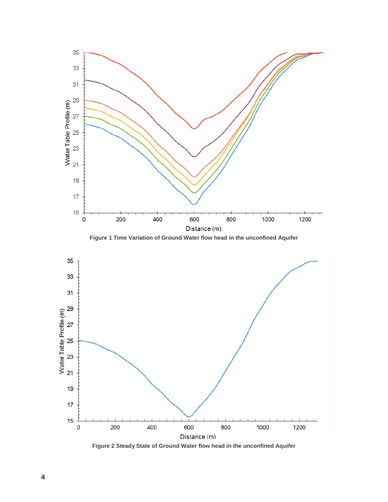

**Figure 2 Steady State of Ground Water flow head in the unconfined Aquifer**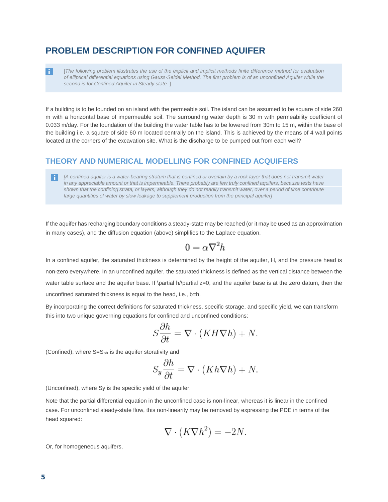## **PROBLEM DESCRIPTION FOR CONFINED AQUIFER**

[*The following problem illustrates the use of the explicit and implicit methods finite difference method for evaluation of elliptical differential equations using Gauss-Seidel Method. The first problem is of an unconfined Aquifer while the second is for Confined Aquifer in Steady state.* ]

If a building is to be founded on an island with the permeable soil. The island can be assumed to be square of side 260 m with a horizontal base of impermeable soil. The surrounding water depth is 30 m with permeability coefficient of 0.033 m/day. For the foundation of the building the water table has to be lowered from 30m to 15 m, within the base of the building i.e. a square of side 60 m located centrally on the island. This is achieved by the means of 4 wall points located at the corners of the excavation site. What is the discharge to be pumped out from each well?

#### **THEORY AND NUMERICAL MODELLING FOR CONFINED ACQUIFERS**

*[A confined aquifer is a water-bearing stratum that is confined or overlain by a rock layer that does not transmit water in any appreciable amount or that is impermeable. There probably are few truly confined aquifers, because tests have shown that the confining strata, or layers, although they do not readily transmit water, over a period of time contribute large quantities of water by slow leakage to supplement production from the principal aquifer]*

If the aquifer has recharging boundary conditions a steady-state may be reached (or it may be used as an approximation in many cases), and the diffusion equation (above) simplifies to the [Laplace equation.](http://en.wikipedia.org/wiki/Laplace_equation)

$$
0 = \alpha \nabla^2 h
$$

In a confined aquifer, the saturated thickness is determined by the height of the aquifer, H, and the pressure head is non-zero everywhere. In an unconfined aquifer, the saturated thickness is defined as the vertical distance between the water table surface and the aquifer base. If \partial h/\partial z=0, and the aquifer base is at the zero datum, then the unconfined saturated thickness is equal to the head, i.e., b=h.

By incorporating the correct definitions for [saturated thickness,](http://en.wikipedia.org/w/index.php?title=Saturated_thickness&action=edit&redlink=1) [specific storage,](http://en.wikipedia.org/wiki/Specific_storage) and [specific yield,](http://en.wikipedia.org/wiki/Specific_yield) we can transform this into two unique governing equations for confined and unconfined conditions:

$$
S\frac{\partial h}{\partial t} = \nabla \cdot (KH\nabla h) + N.
$$

(Confined), where  $S=S_{sb}$  is the aquifer [storativity](http://en.wikipedia.org/wiki/Storativity) and

$$
S_y \frac{\partial h}{\partial t} = \nabla \cdot (Kh \nabla h) + N.
$$

(Unconfined), where Sy is the [specific yield](http://en.wikipedia.org/wiki/Specific_yield) of the aquifer.

Note that the [partial differential equation](http://en.wikipedia.org/wiki/Partial_differential_equation) in the unconfined case is non-linear, whereas it is linear in the confined case. For unconfined steady-state flow, this non-linearity may be removed by expressing the PDE in terms of the head squared:

$$
\nabla \cdot (K \nabla h^2) = -2N.
$$

Or, for homogeneous aquifers,

Π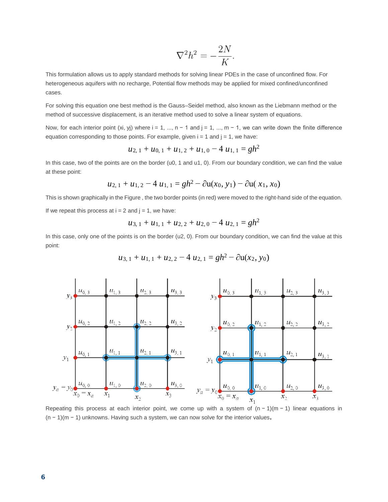$$
\nabla^2 h^2 = -\frac{2N}{K}
$$

This formulation allows us to apply standard methods for solving linear PDEs in the case of unconfined flow. For heterogeneous aquifers with no recharge, [Potential flow](http://en.wikipedia.org/wiki/Potential_flow) methods may be applied for mixed confined/unconfined cases.

For solving this equation one best method is the Gauss–Seidel method, also known as the Liebmann method or the method of successive displacement, is an iterative method used to solve a linear system of equations.

Now, for each interior point (xi, yj) where  $i = 1, ..., n - 1$  and  $j = 1, ..., m - 1$ , we can write down the finite difference equation corresponding to those points. For example, given  $i = 1$  and  $j = 1$ , we have:

$$
u_{2, 1} + u_{0, 1} + u_{1, 2} + u_{1, 0} - 4 u_{1, 1} = gh^2
$$

In this case, two of the points are on the border (u0, 1 and u1, 0). From our boundary condition, we can find the value at these point:

$$
u_{2, 1} + u_{1, 2} - 4 u_{1, 1} = gh^2 - \partial u(x_0, y_1) - \partial u(x_1, x_0)
$$

This is shown graphically in the Figure , the two border points (in red) were moved to the right-hand side of the equation. If we repeat this process at  $i = 2$  and  $j = 1$ , we have:

$$
u_{3, 1} + u_{1, 1} + u_{2, 2} + u_{2, 0} - 4 u_{2, 1} = gh^2
$$

In this case, only one of the points is on the border (u2, 0). From our boundary condition, we can find the value at this point:

$$
u_{3,1} + u_{1,1} + u_{2,2} - 4 u_{2,1} = gh^2 - \partial u(x_2, y_0)
$$



Repeating this process at each interior point, we come up with a system of (n − 1)(m − 1) linear equations in (n <sup>−</sup> 1)(m <sup>−</sup> 1) unknowns. Having such a system, we can now solve for the interior values.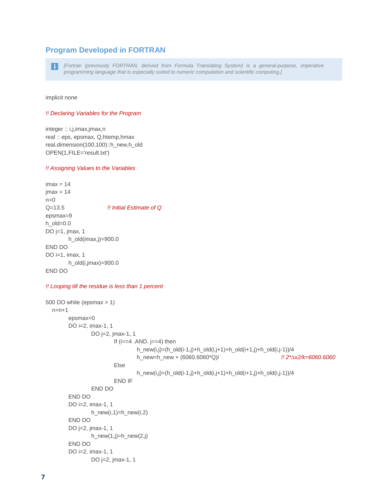#### **Program Developed in FORTRAN**

l i I

*[Fortran (previously FORTRAN, derived from Formula Translating System) is a general-purpose, imperative programming language that is especially suited to numeric computation and scientific computing.]*

implicit none

#### *!! Declaring Variables for the Program*

integer :: i,j,imax,jmax,n real :: eps, epsmax, Q,htemp,hmax real,dimension(100,100)::h\_new,h\_old OPEN(1,FILE='result.txt')

#### *!! Assigning Values to the Variables*

 $imax = 14$  $jmax = 14$  $n=0$ Q=13.5 *!! Initial Estimate of Q* epsmax=9 h\_old=0.0 DO j=1, jmax, 1 h\_old(imax,j)=900.0 END DO DO i=1, imax, 1 h\_old(i,jmax)=900.0 END DO

#### *!! Looping till the residue is less than 1 percent*

```
500 DO while (epsmax > 1)
  n=n+1epsmax=0
        DO i=2, imax-1, 1
                DO j=2, jmax-1, 1
                        If (i==4.AND. j==4) then
                                h_new(i,j)=(h_old(i-1,j)+h_old(i,j+1)+h_old(i+1,j)+h_old(i,j-1))/4
                                h_new=h_new + (6060.6060*Q)/ !! 2*∆x2/k=6060.6060
                        Else
                                h_new(i,j)=(h_old(i-1,j)+h_old(i,j+1)+h_old(i+1,j)+h_old(i,j-1))/4
                        END IF
                END DO
        END DO
        DO i=2, imax-1, 1
                h_new(i,1)=h_new(i,2)
        END DO
        DO j=2, jmax-1, 1
                h_new(1,j)=h_new(2,j)END DO
        DO i=2, imax-1, 1
                DO j=2, jmax-1, 1
```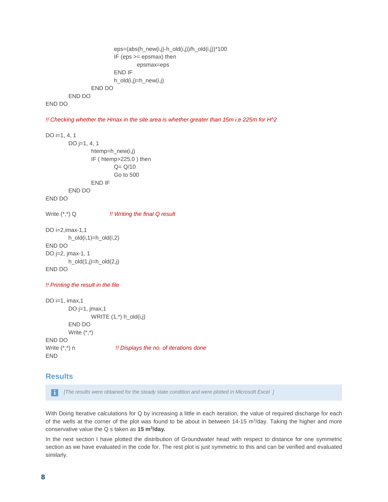```
eps=(abs(h_new(i,j)-h_old(i,j))/h_old(i,j))*100
                 IF (eps >= epsmax) then
                          epsmax=eps
                 END IF 
                 h_old(i,j)=h_new(i,j)
        END DO
END DO
```
#### END DO

*!! Checking whether the Hmax in the site area is whether greater than 15m i.e 225m for H^2*

DO i=1, 4, 1 DO j=1, 4, 1 htemp=h\_new(i,j) IF ( htemp>225.0 ) then  $Q = Q/10$ Go to 500 END IF END DO END DO Write (\*,\*) Q *!! Writing the final Q result* DO i=2,imax-1,1 h\_old(i,1)=h\_old(i,2) END DO DO j=2, jmax-1, 1 h\_old(1,j)=h\_old(2,j) END DO *!! Printing the result in the file* DO i=1, imax,1 DO j=1, jmax,1 WRITE  $(1,^*)$  h\_old $(i,j)$ END DO Write (\*,\*) END DO Write (\*,\*) n *!! Displays the no. of iterations done*

#### **Results**

END

*[The results were obtained for the steady state condition and were plotted in Microsoft Excel ]* -i I

With Doing Iterative calculations for Q by increasing a little in each iteration, the value of required discharge for each of the wells at the corner of the plot was found to be about in between  $14-15$  m<sup>3</sup>/day. Taking the higher and more conservative value the Q s taken as **15 m3/day.**

In the next section I have plotted the distribution of Groundwater head with respect to distance for one symmetric section as we have evaluated in the code for. The rest plot is just symmetric to this and can be verified and evaluated similarly.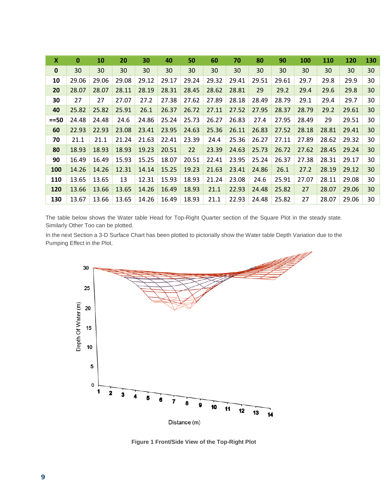| X            | 0     | 10    | 20    | 30    | 40    | 50    | 60    | 70    | 80    | 90    | <b>100</b> | <b>110</b> | 120   | 130 |
|--------------|-------|-------|-------|-------|-------|-------|-------|-------|-------|-------|------------|------------|-------|-----|
| $\mathbf{0}$ | 30    | 30    | 30    | 30    | 30    | 30    | 30    | 30    | 30    | 30    | 30         | 30         | 30    | 30  |
| 10           | 29.06 | 29.06 | 29.08 | 29.12 | 29.17 | 29.24 | 29.32 | 29.41 | 29.51 | 29.61 | 29.7       | 29.8       | 29.9  | 30  |
| 20           | 28.07 | 28.07 | 28.11 | 28.19 | 28.31 | 28.45 | 28.62 | 28.81 | 29    | 29.2  | 29.4       | 29.6       | 29.8  | 30  |
| 30           | 27    | 27    | 27.07 | 27.2  | 27.38 | 27.62 | 27.89 | 28.18 | 28.49 | 28.79 | 29.1       | 29.4       | 29.7  | 30  |
| 40           | 25.82 | 25.82 | 25.91 | 26.1  | 26.37 | 26.72 | 27.11 | 27.52 | 27.95 | 28.37 | 28.79      | 29.2       | 29.61 | 30  |
| $==50$       | 24.48 | 24.48 | 24.6  | 24.86 | 25.24 | 25.73 | 26.27 | 26.83 | 27.4  | 27.95 | 28.49      | 29         | 29.51 | 30  |
| 60           | 22.93 | 22.93 | 23.08 | 23.41 | 23.95 | 24.63 | 25.36 | 26.11 | 26.83 | 27.52 | 28.18      | 28.81      | 29.41 | 30  |
| 70           | 21.1  | 21.1  | 21.24 | 21.63 | 22.41 | 23.39 | 24.4  | 25.36 | 26.27 | 27.11 | 27.89      | 28.62      | 29.32 | 30  |
| 80           | 18.93 | 18.93 | 18.93 | 19.23 | 20.51 | 22    | 23.39 | 24.63 | 25.73 | 26.72 | 27.62      | 28.45      | 29.24 | 30  |
| 90           | 16.49 | 16.49 | 15.93 | 15.25 | 18.07 | 20.51 | 22.41 | 23.95 | 25.24 | 26.37 | 27.38      | 28.31      | 29.17 | 30  |
| 100          | 14.26 | 14.26 | 12.31 | 14.14 | 15.25 | 19.23 | 21.63 | 23.41 | 24.86 | 26.1  | 27.2       | 28.19      | 29.12 | 30  |
| 110          | 13.65 | 13.65 | 13    | 12.31 | 15.93 | 18.93 | 21.24 | 23.08 | 24.6  | 25.91 | 27.07      | 28.11      | 29.08 | 30  |
| 120          | 13.66 | 13.66 | 13.65 | 14.26 | 16.49 | 18.93 | 21.1  | 22.93 | 24.48 | 25.82 | 27         | 28.07      | 29.06 | 30  |
| 130          | 13.67 | 13.66 | 13.65 | 14.26 | 16.49 | 18.93 | 21.1  | 22.93 | 24.48 | 25.82 | 27         | 28.07      | 29.06 | 30  |

The table below shows the Water table Head for Top-Right Quarter section of the Square Plot in the steady state. Similarly Other Too can be plotted.

In the next Section a 3-D Surface Chart has been plotted to pictorially show the Water table Depth Variation due to the Pumping Effect in the Plot.



**Figure 1 Front/Side View of the Top-Right Plot**